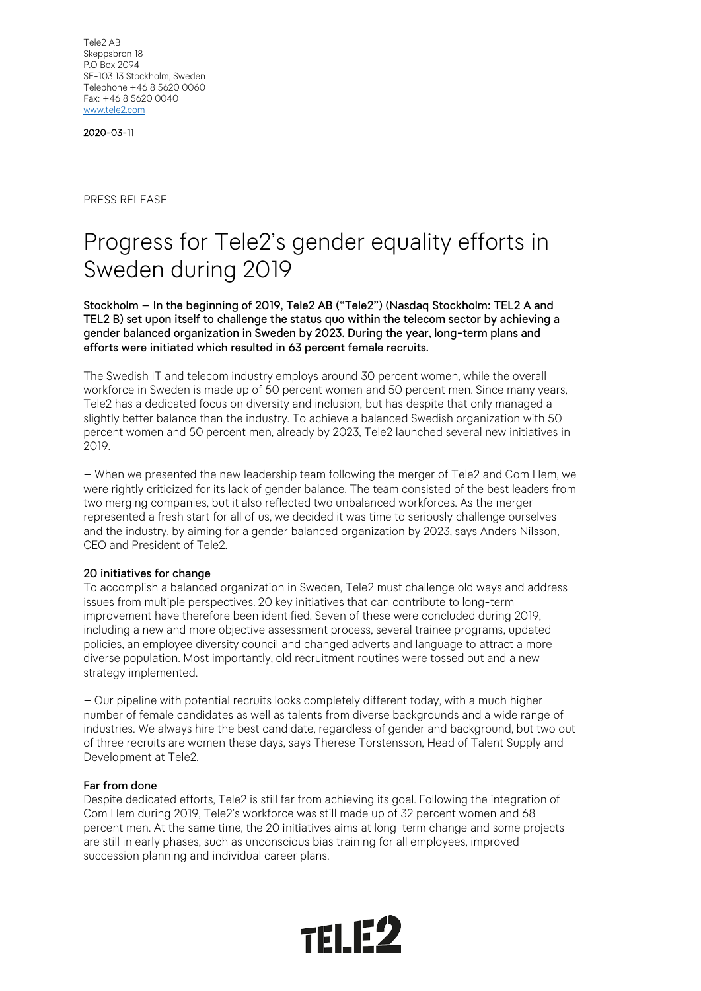Tele2 AB Skeppsbron 18 P.O Box 2094 SE-103 13 Stockholm, Sweden Telephone +46 8 5620 0060 Fax: +46 8 5620 0040 [www.tele2.com](http://www.tele2.com/)

2020-03-11

PRESS RELEASE

# Progress for Tele2's gender equality efforts in Sweden during 2019

Stockholm – In the beginning of 2019, Tele2 AB ("Tele2") (Nasdaq Stockholm: TEL2 A and TEL2 B) set upon itself to challenge the status quo within the telecom sector by achieving a gender balanced organization in Sweden by 2023. During the year, long-term plans and efforts were initiated which resulted in 63 percent female recruits.

The Swedish IT and telecom industry employs around 30 percent women, while the overall workforce in Sweden is made up of 50 percent women and 50 percent men. Since many years, Tele2 has a dedicated focus on diversity and inclusion, but has despite that only managed a slightly better balance than the industry. To achieve a balanced Swedish organization with 50 percent women and 50 percent men, already by 2023, Tele2 launched several new initiatives in 2019.

– When we presented the new leadership team following the merger of Tele2 and Com Hem, we were rightly criticized for its lack of gender balance. The team consisted of the best leaders from two merging companies, but it also reflected two unbalanced workforces. As the merger represented a fresh start for all of us, we decided it was time to seriously challenge ourselves and the industry, by aiming for a gender balanced organization by 2023, says Anders Nilsson, CEO and President of Tele2.

## 20 initiatives for change

To accomplish a balanced organization in Sweden, Tele2 must challenge old ways and address issues from multiple perspectives. 20 key initiatives that can contribute to long-term improvement have therefore been identified. Seven of these were concluded during 2019, including a new and more objective assessment process, several trainee programs, updated policies, an employee diversity council and changed adverts and language to attract a more diverse population. Most importantly, old recruitment routines were tossed out and a new strategy implemented.

– Our pipeline with potential recruits looks completely different today, with a much higher number of female candidates as well as talents from diverse backgrounds and a wide range of industries. We always hire the best candidate, regardless of gender and background, but two out of three recruits are women these days, says Therese Torstensson, Head of Talent Supply and Development at Tele2.

#### Far from done

Despite dedicated efforts, Tele2 is still far from achieving its goal. Following the integration of Com Hem during 2019, Tele2's workforce was still made up of 32 percent women and 68 percent men. At the same time, the 20 initiatives aims at long-term change and some projects are still in early phases, such as unconscious bias training for all employees, improved succession planning and individual career plans.